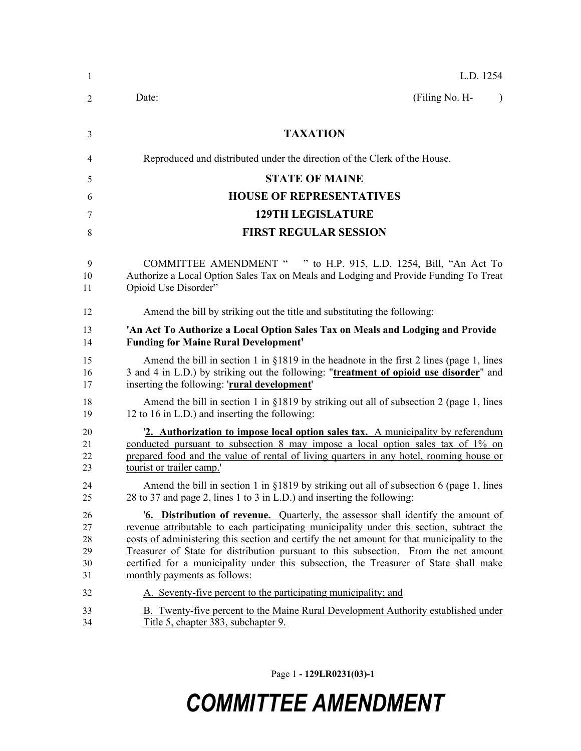| 1                                | L.D. 1254                                                                                                                                                                                                                                                                                                                                                                                                                                                                                           |
|----------------------------------|-----------------------------------------------------------------------------------------------------------------------------------------------------------------------------------------------------------------------------------------------------------------------------------------------------------------------------------------------------------------------------------------------------------------------------------------------------------------------------------------------------|
| $\overline{2}$                   | (Filing No. H-<br>Date:<br>$\mathcal{L}$                                                                                                                                                                                                                                                                                                                                                                                                                                                            |
| 3                                | <b>TAXATION</b>                                                                                                                                                                                                                                                                                                                                                                                                                                                                                     |
| 4                                | Reproduced and distributed under the direction of the Clerk of the House.                                                                                                                                                                                                                                                                                                                                                                                                                           |
| 5                                | <b>STATE OF MAINE</b>                                                                                                                                                                                                                                                                                                                                                                                                                                                                               |
| 6                                | <b>HOUSE OF REPRESENTATIVES</b>                                                                                                                                                                                                                                                                                                                                                                                                                                                                     |
| 7                                | <b>129TH LEGISLATURE</b>                                                                                                                                                                                                                                                                                                                                                                                                                                                                            |
| 8                                | <b>FIRST REGULAR SESSION</b>                                                                                                                                                                                                                                                                                                                                                                                                                                                                        |
| 9<br>10<br>11                    | COMMITTEE AMENDMENT " " to H.P. 915, L.D. 1254, Bill, "An Act To<br>Authorize a Local Option Sales Tax on Meals and Lodging and Provide Funding To Treat<br>Opioid Use Disorder"                                                                                                                                                                                                                                                                                                                    |
| 12                               | Amend the bill by striking out the title and substituting the following:                                                                                                                                                                                                                                                                                                                                                                                                                            |
| 13<br>14                         | 'An Act To Authorize a Local Option Sales Tax on Meals and Lodging and Provide<br><b>Funding for Maine Rural Development'</b>                                                                                                                                                                                                                                                                                                                                                                       |
| 15<br>16<br>17                   | Amend the bill in section 1 in $\S$ 1819 in the headnote in the first 2 lines (page 1, lines<br>3 and 4 in L.D.) by striking out the following: "treatment of opioid use disorder" and<br>inserting the following: 'rural development'                                                                                                                                                                                                                                                              |
| 18<br>19                         | Amend the bill in section 1 in $\S$ 1819 by striking out all of subsection 2 (page 1, lines<br>12 to 16 in L.D.) and inserting the following:                                                                                                                                                                                                                                                                                                                                                       |
| 20<br>21<br>22<br>23             | 2. Authorization to impose local option sales tax. A municipality by referendum<br>conducted pursuant to subsection 8 may impose a local option sales tax of 1% on<br>prepared food and the value of rental of living quarters in any hotel, rooming house or<br>tourist or trailer camp.'                                                                                                                                                                                                          |
| 24<br>25                         | Amend the bill in section 1 in §1819 by striking out all of subsection 6 (page 1, lines<br>28 to 37 and page 2, lines 1 to 3 in L.D.) and inserting the following:                                                                                                                                                                                                                                                                                                                                  |
| 26<br>27<br>28<br>29<br>30<br>31 | <b>6. Distribution of revenue.</b> Quarterly, the assessor shall identify the amount of<br>revenue attributable to each participating municipality under this section, subtract the<br>costs of administering this section and certify the net amount for that municipality to the<br>Treasurer of State for distribution pursuant to this subsection. From the net amount<br>certified for a municipality under this subsection, the Treasurer of State shall make<br>monthly payments as follows: |
| 32                               | A. Seventy-five percent to the participating municipality; and                                                                                                                                                                                                                                                                                                                                                                                                                                      |
| 33<br>34                         | B. Twenty-five percent to the Maine Rural Development Authority established under<br>Title 5, chapter 383, subchapter 9.                                                                                                                                                                                                                                                                                                                                                                            |

Page 1 **- 129LR0231(03)-1**

## *COMMITTEE AMENDMENT*